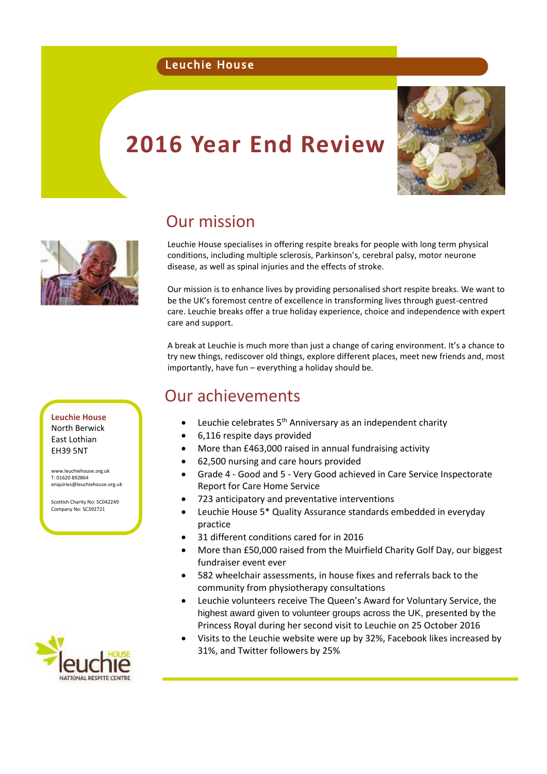#### Leuchie House

# **2016 Year End Review**





### Our mission

Leuchie House specialises in offering respite breaks for people with long term physical conditions, including multiple sclerosis, Parkinson's, cerebral palsy, motor neurone disease, as well as spinal injuries and the effects of stroke.

Our mission is to enhance lives by providing personalised short respite breaks. We want to be the UK's foremost centre of excellence in transforming lives through guest-centred care. Leuchie breaks offer a true holiday experience, choice and independence with expert care and support.

A break at Leuchie is much more than just a change of caring environment. It's a chance to try new things, rediscover old things, explore different places, meet new friends and, most importantly, have fun – everything a holiday should be.

### Our achievements

- Leuchie celebrates 5th Anniversary as an independent charity
- 6,116 respite days provided
- More than £463,000 raised in annual fundraising activity
- 62,500 nursing and care hours provided
- Grade 4 Good and 5 Very Good achieved in Care Service Inspectorate Report for Care Home Service
- 723 anticipatory and preventative interventions
- Leuchie House 5\* Quality Assurance standards embedded in everyday practice
- 31 different conditions cared for in 2016
- More than £50,000 raised from the Muirfield Charity Golf Day, our biggest fundraiser event ever
- 582 wheelchair assessments, in house fixes and referrals back to the community from physiotherapy consultations
- Leuchie volunteers receive The Queen's Award for Voluntary Service, the highest award given to volunteer groups across the UK, presented by the Princess Royal during her second visit to Leuchie on 25 October 2016
- Visits to the Leuchie website were up by 32%, Facebook likes increased by 31%, and Twitter followers by 25%

**Leuchie House** North Berwick East Lothian EH39 5NT

[www.leuchiehouse.org.uk](http://www.leuchiehouse.org.uk/) T: 01620 892864 [enquiries@leuchiehouse.org.uk](mailto:enquiries@leuchiehouse.org.uk)

Scottish Charity No: SC042249 Company No: SC392721

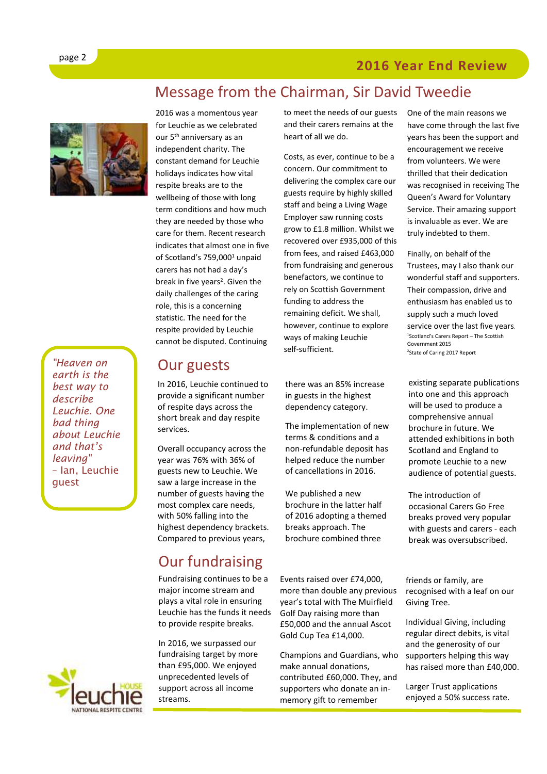#### **2016 Year End Review**



*"Heaven on earth is the best way to describe Leuchie. One bad thing about Leuchie and that's leaving"*  – Ian, Leuchie guest



### Message from the Chairman, Sir David Tweedie

2016 was a momentous year for Leuchie as we celebrated our 5<sup>th</sup> anniversary as an independent charity. The constant demand for Leuchie holidays indicates how vital respite breaks are to the wellbeing of those with long term conditions and how much they are needed by those who care for them. Recent research indicates that almost one in five of Scotland's 759,000<sup>1</sup> unpaid carers has not had a day's break in five years<sup>2</sup>. Given the daily challenges of the caring role, this is a concerning statistic. The need for the respite provided by Leuchie cannot be disputed. Continuing

#### Our guests

In 2016, Leuchie continued to provide a significant number of respite days across the short break and day respite services.

Overall occupancy across the year was 76% with 36% of guests new to Leuchie. We saw a large increase in the number of guests having the most complex care needs, with 50% falling into the highest dependency brackets. Compared to previous years,

## Our fundraising

Fundraising continues to be a major income stream and plays a vital role in ensuring Leuchie has the funds it needs to provide respite breaks.

In 2016, we surpassed our fundraising target by more than £95,000. We enjoyed unprecedented levels of support across all income streams.

to meet the needs of our guests and their carers remains at the heart of all we do.

Costs, as ever, continue to be a concern. Our commitment to delivering the complex care our guests require by highly skilled staff and being a Living Wage Employer saw running costs grow to £1.8 million. Whilst we recovered over £935,000 of this from fees, and raised £463,000 from fundraising and generous benefactors, we continue to rely on Scottish Government funding to address the remaining deficit. We shall, however, continue to explore ways of making Leuchie self-sufficient.

there was an 85% increase in guests in the highest dependency category.

The implementation of new terms & conditions and a non-refundable deposit has helped reduce the number of cancellations in 2016.

We published a new brochure in the latter half of 2016 adopting a themed breaks approach. The brochure combined three

Events raised over £74,000, more than double any previous year's total with The Muirfield Golf Day raising more than £50,000 and the annual Ascot Gold Cup Tea £14,000.

Champions and Guardians, who make annual donations, contributed £60,000. They, and supporters who donate an inmemory gift to remember

One of the main reasons we have come through the last five years has been the support and encouragement we receive from volunteers. We were thrilled that their dedication was recognised in receiving The Queen's Award for Voluntary Service. Their amazing support is invaluable as ever. We are truly indebted to them.

Finally, on behalf of the Trustees, may I also thank our wonderful staff and supporters. Their compassion, drive and enthusiasm has enabled us to supply such a much loved service over the last five years. 1 Scotland's Carers Report – The Scottish Government 2015 <sup>2</sup>State of Caring 2017 Report

existing separate publications into one and this approach will be used to produce a comprehensive annual brochure in future. We attended exhibitions in both Scotland and England to promote Leuchie to a new audience of potential guests.

The introduction of occasional Carers Go Free breaks proved very popular with guests and carers - each break was oversubscribed.

friends or family, are recognised with a leaf on our Giving Tree.

Individual Giving, including regular direct debits, is vital and the generosity of our supporters helping this way has raised more than £40,000.

Larger Trust applications enjoyed a 50% success rate.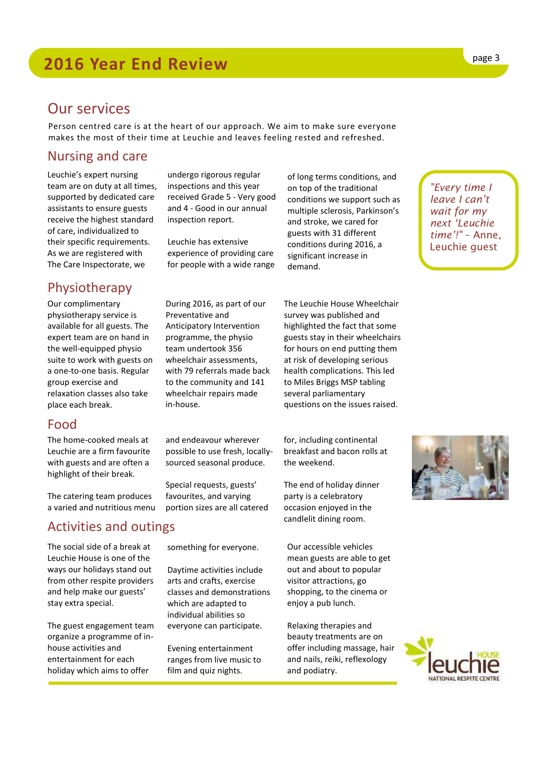### Our services

Person centred care is at the heart of our approach. We aim to make sure everyone makes the most of their time at Leuchie and leaves feeling rested and refreshed.

> undergo rigorous regular inspections and this year received Grade 5 - Very good and 4 - Good in our annual

inspection report.

Leuchie has extensive experience of providing care for people with a wide range

#### Nursing and care

Leuchie's expert nursing team are on duty at all times, supported by dedicated care assistants to ensure guests receive the highest standard of care, individualized to their specific requirements. As we are registered with The Care Inspectorate, we

#### Physiotherapy

Our complimentary physiotherapy service is available for all guests. The expert team are on hand in the well-equipped physio suite to work with guests on a one-to-one basis. Regular group exercise and relaxation classes also take place each break.

#### Food

The home-cooked meals at Leuchie are a firm favourite with guests and are often a highlight of their break.

The catering team produces a varied and nutritious menu

#### Activities and outings

The social side of a break at Leuchie House is one of the ways our holidays stand out from other respite providers and help make our guests' stay extra special.

The guest engagement team organize a programme of inhouse activities and entertainment for each holiday which aims to offer

something for everyone.

and endeavour wherever possible to use fresh, locallysourced seasonal produce.

During 2016, as part of our

Anticipatory Intervention programme, the physio team undertook 356 wheelchair assessments, with 79 referrals made back to the community and 141 wheelchair repairs made

Preventative and

in-house.

Special requests, guests' favourites, and varying portion sizes are all catered

Daytime activities include arts and crafts, exercise classes and demonstrations which are adapted to individual abilities so everyone can participate.

Evening entertainment ranges from live music to film and quiz nights.

of long terms conditions, and on top of the traditional conditions we support such as multiple sclerosis, Parkinson's and stroke, we cared for guests with 31 different conditions during 2016, a significant increase in demand.

The Leuchie House Wheelchair survey was published and highlighted the fact that some guests stay in their wheelchairs for hours on end putting them at risk of developing serious health complications. This led to Miles Briggs MSP tabling several parliamentary questions on the issues raised.

for, including continental breakfast and bacon rolls at the weekend.

The end of holiday dinner party is a celebratory occasion enjoyed in the candlelit dining room.

Our accessible vehicles mean guests are able to get out and about to popular visitor attractions, go shopping, to the cinema or enjoy a pub lunch.

Relaxing therapies and beauty treatments are on offer including massage, hair and nails, reiki, reflexology and podiatry.

*"Every time I leave I can't wait for my next 'Leuchie time'!"* – Anne, Leuchie guest